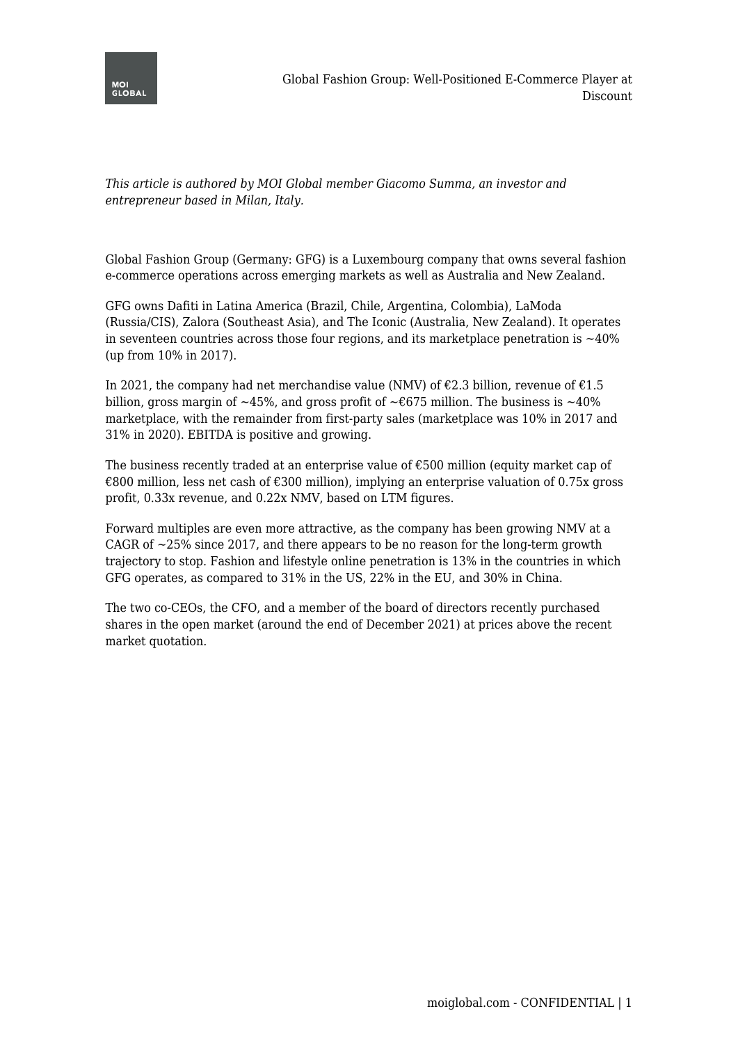

*This article is authored by MOI Global member Giacomo Summa, an investor and entrepreneur based in Milan, Italy.*

Global Fashion Group (Germany: GFG) is a Luxembourg company that owns several fashion e-commerce operations across emerging markets as well as Australia and New Zealand.

GFG owns Dafiti in Latina America (Brazil, Chile, Argentina, Colombia), LaModa (Russia/CIS), Zalora (Southeast Asia), and The Iconic (Australia, New Zealand). It operates in seventeen countries across those four regions, and its marketplace penetration is  $~10\%$ (up from 10% in 2017).

In 2021, the company had net merchandise value (NMV) of  $\epsilon$ 2.3 billion, revenue of  $\epsilon$ 1.5 billion, gross margin of ~45%, and gross profit of ~ $675$  million. The business is ~40% marketplace, with the remainder from first-party sales (marketplace was 10% in 2017 and 31% in 2020). EBITDA is positive and growing.

The business recently traded at an enterprise value of  $\epsilon$ 500 million (equity market cap of €800 million, less net cash of €300 million), implying an enterprise valuation of 0.75x gross profit, 0.33x revenue, and 0.22x NMV, based on LTM figures.

Forward multiples are even more attractive, as the company has been growing NMV at a CAGR of  $\sim$ 25% since 2017, and there appears to be no reason for the long-term growth trajectory to stop. Fashion and lifestyle online penetration is 13% in the countries in which GFG operates, as compared to 31% in the US, 22% in the EU, and 30% in China.

The two co-CEOs, the CFO, and a member of the board of directors recently purchased shares in the open market (around the end of December 2021) at prices above the recent market quotation.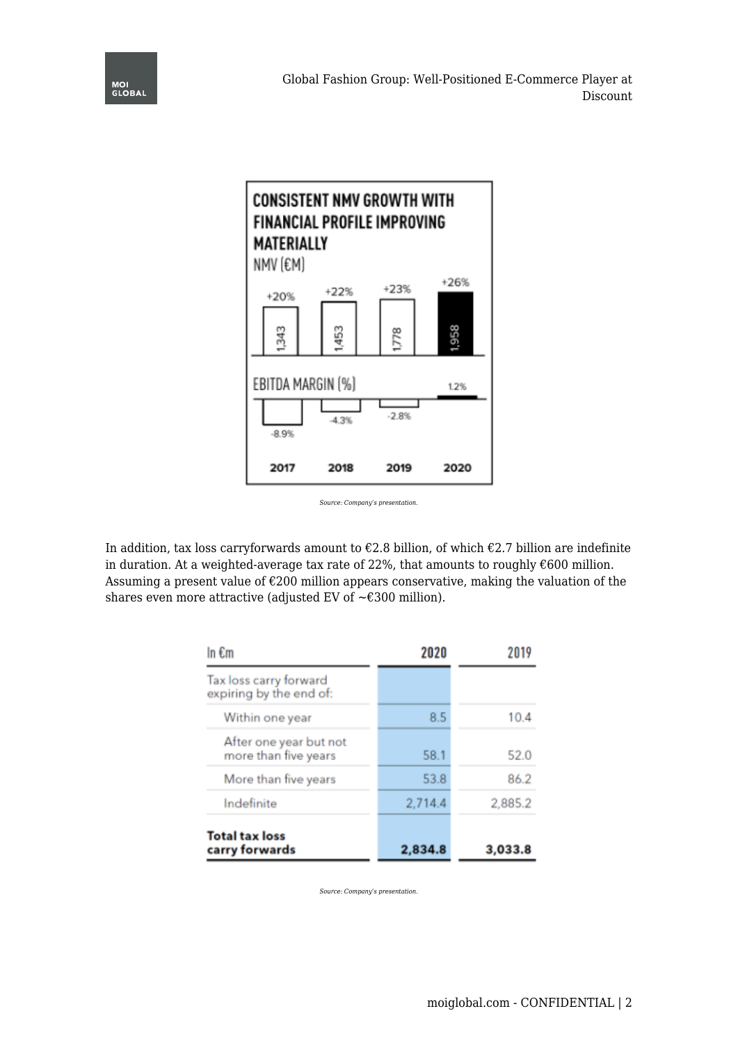



In addition, tax loss carryforwards amount to  $\epsilon$ 2.8 billion, of which  $\epsilon$ 2.7 billion are indefinite in duration. At a weighted-average tax rate of 22%, that amounts to roughly  $€600$  million. Assuming a present value of €200 million appears conservative, making the valuation of the shares even more attractive (adjusted EV of  $\sim \text{\textsterling}300$  million).

| In $\epsilon$ m                                   | 2020    | 2019    |
|---------------------------------------------------|---------|---------|
| Tax loss carry forward<br>expiring by the end of: |         |         |
| Within one year                                   | 8.5     | 10.4    |
| After one year but not<br>more than five years    | 58.1    | 52.0    |
| More than five years                              | 53.8    | 86.2    |
| Indefinite                                        | 2,714.4 | 2,885.2 |
| <b>Total tax loss</b><br>carry forwards           | 2,834.8 | 3,033.8 |

*Source: Company's presentation.*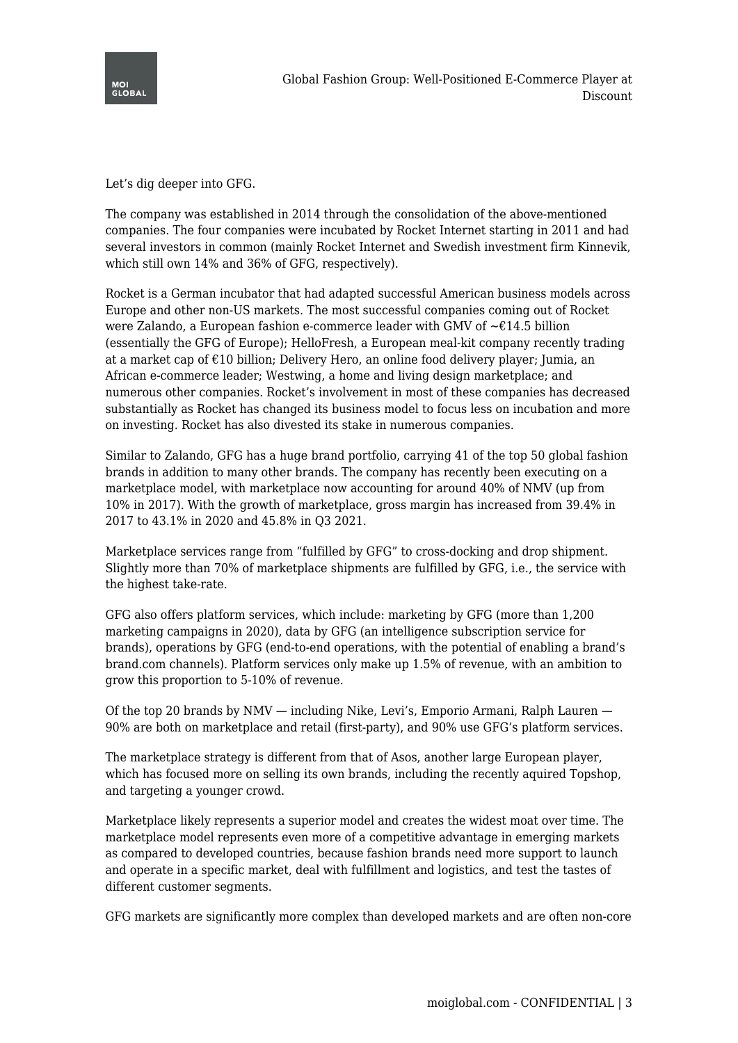

Let's dig deeper into GFG.

The company was established in 2014 through the consolidation of the above-mentioned companies. The four companies were incubated by Rocket Internet starting in 2011 and had several investors in common (mainly Rocket Internet and Swedish investment firm Kinnevik, which still own 14% and 36% of GFG, respectively).

Rocket is a German incubator that had adapted successful American business models across Europe and other non-US markets. The most successful companies coming out of Rocket were Zalando, a European fashion e-commerce leader with GMV of ~€14.5 billion (essentially the GFG of Europe); HelloFresh, a European meal-kit company recently trading at a market cap of €10 billion; Delivery Hero, an online food delivery player; Jumia, an African e-commerce leader; Westwing, a home and living design marketplace; and numerous other companies. Rocket's involvement in most of these companies has decreased substantially as Rocket has changed its business model to focus less on incubation and more on investing. Rocket has also divested its stake in numerous companies.

Similar to Zalando, GFG has a huge brand portfolio, carrying 41 of the top 50 global fashion brands in addition to many other brands. The company has recently been executing on a marketplace model, with marketplace now accounting for around 40% of NMV (up from 10% in 2017). With the growth of marketplace, gross margin has increased from 39.4% in 2017 to 43.1% in 2020 and 45.8% in Q3 2021.

Marketplace services range from "fulfilled by GFG" to cross-docking and drop shipment. Slightly more than 70% of marketplace shipments are fulfilled by GFG, i.e., the service with the highest take-rate.

GFG also offers platform services, which include: marketing by GFG (more than 1,200 marketing campaigns in 2020), data by GFG (an intelligence subscription service for brands), operations by GFG (end-to-end operations, with the potential of enabling a brand's brand.com channels). Platform services only make up 1.5% of revenue, with an ambition to grow this proportion to 5-10% of revenue.

Of the top 20 brands by NMV — including Nike, Levi's, Emporio Armani, Ralph Lauren — 90% are both on marketplace and retail (first-party), and 90% use GFG's platform services.

The marketplace strategy is different from that of Asos, another large European player, which has focused more on selling its own brands, including the recently aquired Topshop, and targeting a younger crowd.

Marketplace likely represents a superior model and creates the widest moat over time. The marketplace model represents even more of a competitive advantage in emerging markets as compared to developed countries, because fashion brands need more support to launch and operate in a specific market, deal with fulfillment and logistics, and test the tastes of different customer segments.

GFG markets are significantly more complex than developed markets and are often non-core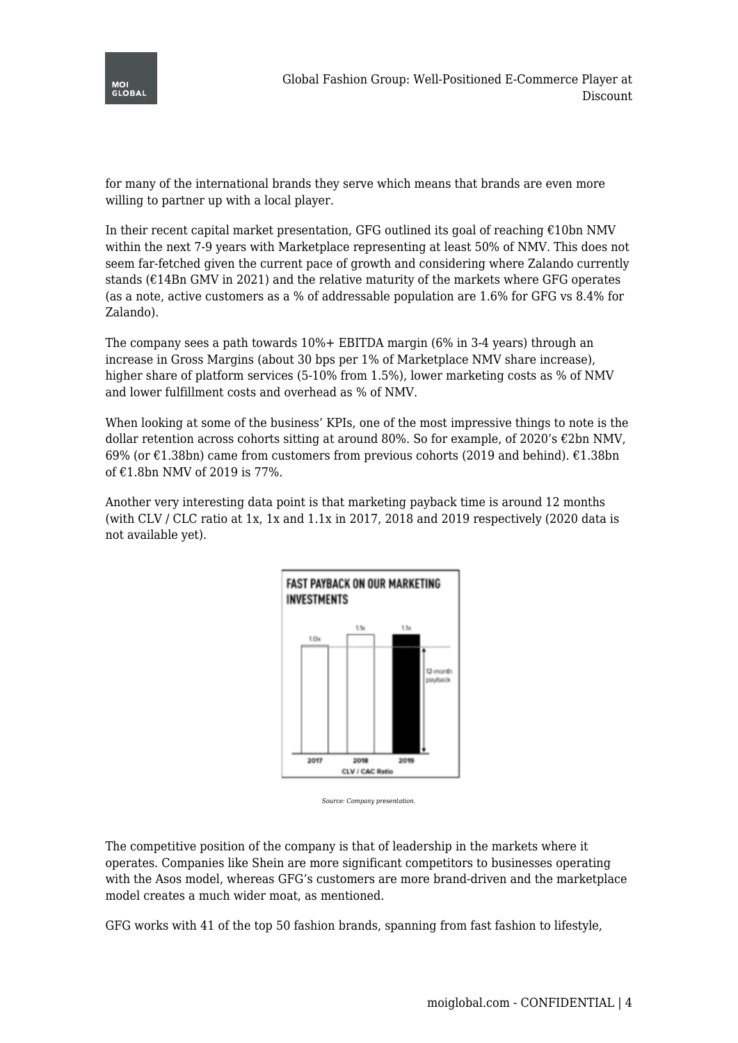

for many of the international brands they serve which means that brands are even more willing to partner up with a local player.

In their recent capital market presentation, GFG outlined its goal of reaching  $\epsilon$ 10bn NMV within the next 7-9 years with Marketplace representing at least 50% of NMV. This does not seem far-fetched given the current pace of growth and considering where Zalando currently stands ( $\epsilon$ 14Bn GMV in 2021) and the relative maturity of the markets where GFG operates (as a note, active customers as a % of addressable population are 1.6% for GFG vs 8.4% for Zalando).

The company sees a path towards 10%+ EBITDA margin (6% in 3-4 years) through an increase in Gross Margins (about 30 bps per 1% of Marketplace NMV share increase), higher share of platform services (5-10% from 1.5%), lower marketing costs as % of NMV and lower fulfillment costs and overhead as % of NMV.

When looking at some of the business' KPIs, one of the most impressive things to note is the dollar retention across cohorts sitting at around 80%. So for example, of 2020's  $\epsilon$ 2bn NMV, 69% (or  $\epsilon$ 1.38bn) came from customers from previous cohorts (2019 and behind).  $\epsilon$ 1.38bn of €1.8bn NMV of 2019 is 77%.

Another very interesting data point is that marketing payback time is around 12 months (with CLV / CLC ratio at 1x, 1x and 1.1x in 2017, 2018 and 2019 respectively (2020 data is not available yet).



*Source: Company presentation.*

The competitive position of the company is that of leadership in the markets where it operates. Companies like Shein are more significant competitors to businesses operating with the Asos model, whereas GFG's customers are more brand-driven and the marketplace model creates a much wider moat, as mentioned.

GFG works with 41 of the top 50 fashion brands, spanning from fast fashion to lifestyle,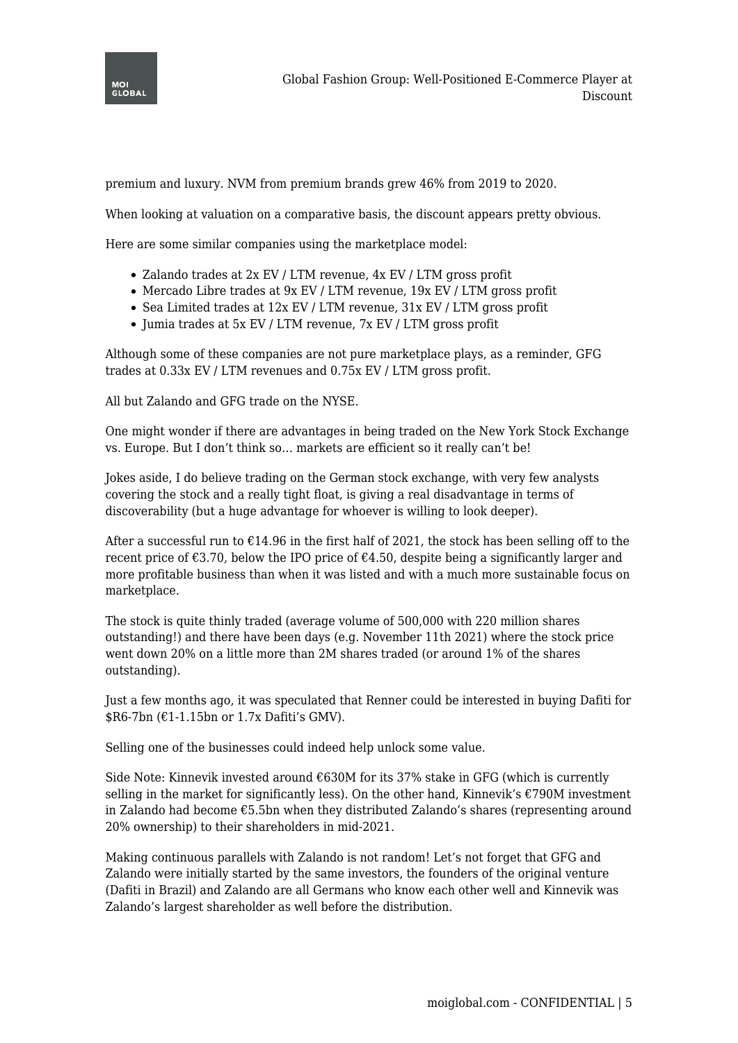

premium and luxury. NVM from premium brands grew 46% from 2019 to 2020.

When looking at valuation on a comparative basis, the discount appears pretty obvious.

Here are some similar companies using the marketplace model:

- Zalando trades at 2x EV / LTM revenue,  $4x$  EV / LTM gross profit
- Mercado Libre trades at 9x EV / LTM revenue, 19x EV / LTM gross profit
- Sea Limited trades at 12x EV / LTM revenue, 31x EV / LTM gross profit
- Jumia trades at 5x EV / LTM revenue, 7x EV / LTM gross profit

Although some of these companies are not pure marketplace plays, as a reminder, GFG trades at 0.33x EV / LTM revenues and 0.75x EV / LTM gross profit.

All but Zalando and GFG trade on the NYSE.

One might wonder if there are advantages in being traded on the New York Stock Exchange vs. Europe. But I don't think so… markets are efficient so it really can't be!

Jokes aside, I do believe trading on the German stock exchange, with very few analysts covering the stock and a really tight float, is giving a real disadvantage in terms of discoverability (but a huge advantage for whoever is willing to look deeper).

After a successful run to  $E14.96$  in the first half of 2021, the stock has been selling off to the recent price of  $\epsilon$ 3.70, below the IPO price of  $\epsilon$ 4.50, despite being a significantly larger and more profitable business than when it was listed and with a much more sustainable focus on marketplace.

The stock is quite thinly traded (average volume of 500,000 with 220 million shares outstanding!) and there have been days (e.g. November 11th 2021) where the stock price went down 20% on a little more than 2M shares traded (or around 1% of the shares outstanding).

Just a few months ago, it was speculated that Renner could be interested in buying Dafiti for  $R6-7bn$  ( $E1-1.15bn$  or 1.7x Dafiti's GMV).

Selling one of the businesses could indeed help unlock some value.

Side Note: Kinnevik invested around  $\epsilon$ 630M for its 37% stake in GFG (which is currently selling in the market for significantly less). On the other hand, Kinnevik's  $\epsilon$ 790M investment in Zalando had become €5.5bn when they distributed Zalando's shares (representing around 20% ownership) to their shareholders in mid-2021.

Making continuous parallels with Zalando is not random! Let's not forget that GFG and Zalando were initially started by the same investors, the founders of the original venture (Dafiti in Brazil) and Zalando are all Germans who know each other well and Kinnevik was Zalando's largest shareholder as well before the distribution.